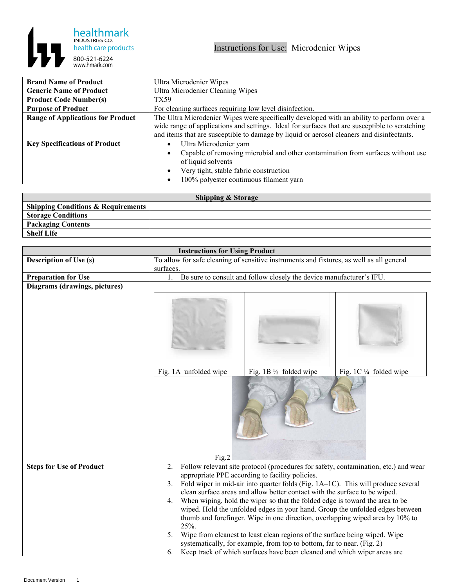

| <b>Brand Name of Product</b>             | Ultra Microdenier Wipes                                                                        |  |  |
|------------------------------------------|------------------------------------------------------------------------------------------------|--|--|
| <b>Generic Name of Product</b>           | Ultra Microdenier Cleaning Wipes                                                               |  |  |
| <b>Product Code Number(s)</b>            | TX59                                                                                           |  |  |
| <b>Purpose of Product</b>                | For cleaning surfaces requiring low level disinfection.                                        |  |  |
| <b>Range of Applications for Product</b> | The Ultra Microdenier Wipes were specifically developed with an ability to perform over a      |  |  |
|                                          | wide range of applications and settings. Ideal for surfaces that are susceptible to scratching |  |  |
|                                          | and items that are susceptible to damage by liquid or aerosol cleaners and disinfectants.      |  |  |
| <b>Key Specifications of Product</b>     | Ultra Microdenier yarn<br>$\bullet$                                                            |  |  |
|                                          | Capable of removing microbial and other contamination from surfaces without use                |  |  |
|                                          | of liquid solvents                                                                             |  |  |
|                                          | Very tight, stable fabric construction                                                         |  |  |
|                                          | 100% polyester continuous filament yarn                                                        |  |  |

| <b>Shipping &amp; Storage</b>                 |  |  |  |
|-----------------------------------------------|--|--|--|
| <b>Shipping Conditions &amp; Requirements</b> |  |  |  |
| <b>Storage Conditions</b>                     |  |  |  |
| <b>Packaging Contents</b>                     |  |  |  |
| <b>Shelf Life</b>                             |  |  |  |

| <b>Instructions for Using Product</b> |                                                                                          |                                                                                                                                                                |                                                                                     |
|---------------------------------------|------------------------------------------------------------------------------------------|----------------------------------------------------------------------------------------------------------------------------------------------------------------|-------------------------------------------------------------------------------------|
| <b>Description of Use (s)</b>         | To allow for safe cleaning of sensitive instruments and fixtures, as well as all general |                                                                                                                                                                |                                                                                     |
|                                       | surfaces.                                                                                |                                                                                                                                                                |                                                                                     |
| <b>Preparation for Use</b>            | $\mathbf{1}$ .                                                                           | Be sure to consult and follow closely the device manufacturer's IFU.                                                                                           |                                                                                     |
| Diagrams (drawings, pictures)         |                                                                                          |                                                                                                                                                                |                                                                                     |
|                                       |                                                                                          |                                                                                                                                                                |                                                                                     |
|                                       | Fig. 1A unfolded wipe                                                                    | Fig. 1B $\frac{1}{2}$ folded wipe                                                                                                                              | Fig. 1C 1/4 folded wipe                                                             |
| <b>Steps for Use of Product</b>       | Fig.2<br>2.                                                                              |                                                                                                                                                                | Follow relevant site protocol (procedures for safety, contamination, etc.) and wear |
|                                       |                                                                                          | appropriate PPE according to facility policies.                                                                                                                |                                                                                     |
|                                       | 3.                                                                                       | Fold wiper in mid-air into quarter folds (Fig. 1A-1C). This will produce several                                                                               |                                                                                     |
|                                       |                                                                                          | clean surface areas and allow better contact with the surface to be wiped.                                                                                     |                                                                                     |
|                                       | 4.                                                                                       | When wiping, hold the wiper so that the folded edge is toward the area to be                                                                                   |                                                                                     |
|                                       | 25%.                                                                                     | wiped. Hold the unfolded edges in your hand. Group the unfolded edges between<br>thumb and forefinger. Wipe in one direction, overlapping wiped area by 10% to |                                                                                     |
|                                       | 5.                                                                                       | Wipe from cleanest to least clean regions of the surface being wiped. Wipe<br>systematically, for example, from top to bottom, far to near. (Fig. 2)           |                                                                                     |
|                                       |                                                                                          | 6. Keep track of which surfaces have been cleaned and which wiper areas are                                                                                    |                                                                                     |